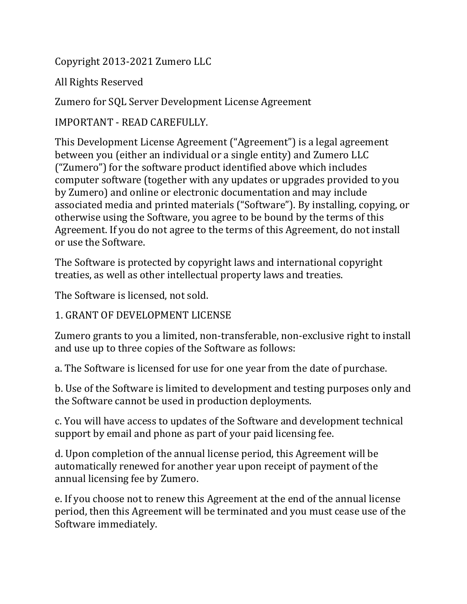Copyright 2013-2021 Zumero LLC

All Rights Reserved

Zumero for SQL Server Development License Agreement

IMPORTANT - READ CAREFULLY.

This Development License Agreement ("Agreement") is a legal agreement between you (either an individual or a single entity) and Zumero LLC ("Zumero") for the software product identified above which includes computer software (together with any updates or upgrades provided to you by Zumero) and online or electronic documentation and may include associated media and printed materials ("Software"). By installing, copying, or otherwise using the Software, you agree to be bound by the terms of this Agreement. If you do not agree to the terms of this Agreement, do not install or use the Software.

The Software is protected by copyright laws and international copyright treaties, as well as other intellectual property laws and treaties.

The Software is licensed, not sold.

#### 1. GRANT OF DEVELOPMENT LICENSE

Zumero grants to you a limited, non-transferable, non-exclusive right to install and use up to three copies of the Software as follows:

a. The Software is licensed for use for one year from the date of purchase.

b. Use of the Software is limited to development and testing purposes only and the Software cannot be used in production deployments.

c. You will have access to updates of the Software and development technical support by email and phone as part of your paid licensing fee.

d. Upon completion of the annual license period, this Agreement will be automatically renewed for another year upon receipt of payment of the annual licensing fee by Zumero.

e. If you choose not to renew this Agreement at the end of the annual license period, then this Agreement will be terminated and you must cease use of the Software immediately.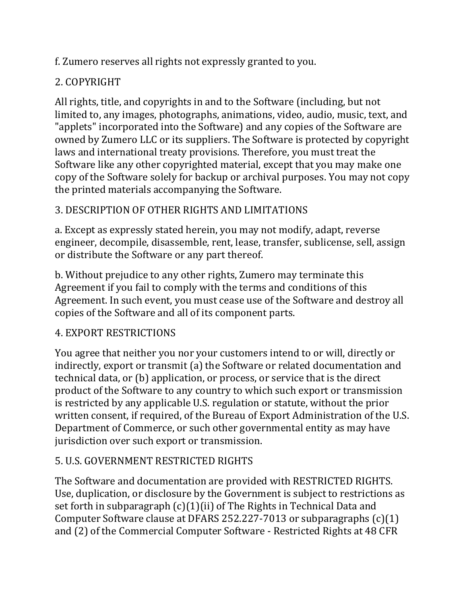f. Zumero reserves all rights not expressly granted to you.

# 2. COPYRIGHT

All rights, title, and copyrights in and to the Software (including, but not limited to, any images, photographs, animations, video, audio, music, text, and "applets" incorporated into the Software) and any copies of the Software are owned by Zumero LLC or its suppliers. The Software is protected by copyright laws and international treaty provisions. Therefore, you must treat the Software like any other copyrighted material, except that you may make one copy of the Software solely for backup or archival purposes. You may not copy the printed materials accompanying the Software.

## 3. DESCRIPTION OF OTHER RIGHTS AND LIMITATIONS

a. Except as expressly stated herein, you may not modify, adapt, reverse engineer, decompile, disassemble, rent, lease, transfer, sublicense, sell, assign or distribute the Software or any part thereof.

b. Without prejudice to any other rights, Zumero may terminate this Agreement if you fail to comply with the terms and conditions of this Agreement. In such event, you must cease use of the Software and destroy all copies of the Software and all of its component parts.

## 4. EXPORT RESTRICTIONS

You agree that neither you nor your customers intend to or will, directly or indirectly, export or transmit (a) the Software or related documentation and technical data, or (b) application, or process, or service that is the direct product of the Software to any country to which such export or transmission is restricted by any applicable U.S. regulation or statute, without the prior written consent, if required, of the Bureau of Export Administration of the U.S. Department of Commerce, or such other governmental entity as may have jurisdiction over such export or transmission.

## 5. U.S. GOVERNMENT RESTRICTED RIGHTS

The Software and documentation are provided with RESTRICTED RIGHTS. Use, duplication, or disclosure by the Government is subject to restrictions as set forth in subparagraph (c)(1)(ii) of The Rights in Technical Data and Computer Software clause at DFARS 252.227-7013 or subparagraphs (c)(1) and (2) of the Commercial Computer Software - Restricted Rights at 48 CFR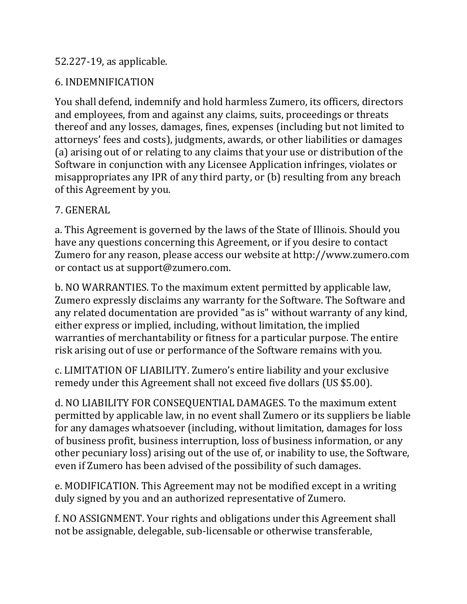#### 52.227-19, as applicable.

### 6. INDEMNIFICATION

You shall defend, indemnify and hold harmless Zumero, its officers, directors and employees, from and against any claims, suits, proceedings or threats thereof and any losses, damages, fines, expenses (including but not limited to attorneys' fees and costs), judgments, awards, or other liabilities or damages (a) arising out of or relating to any claims that your use or distribution of the Software in conjunction with any Licensee Application infringes, violates or misappropriates any IPR of any third party, or (b) resulting from any breach of this Agreement by you.

#### 7. GENERAL

a. This Agreement is governed by the laws of the State of Illinois. Should you have any questions concerning this Agreement, or if you desire to contact Zumero for any reason, please access our website at [http://www.zumero.com](http://www.zumero.com/) or contact us at support@zumero.com.

b. NO WARRANTIES. To the maximum extent permitted by applicable law, Zumero expressly disclaims any warranty for the Software. The Software and any related documentation are provided "as is" without warranty of any kind, either express or implied, including, without limitation, the implied warranties of merchantability or fitness for a particular purpose. The entire risk arising out of use or performance of the Software remains with you.

c. LIMITATION OF LIABILITY. Zumero's entire liability and your exclusive remedy under this Agreement shall not exceed five dollars (US \$5.00).

d. NO LIABILITY FOR CONSEQUENTIAL DAMAGES. To the maximum extent permitted by applicable law, in no event shall Zumero or its suppliers be liable for any damages whatsoever (including, without limitation, damages for loss of business profit, business interruption, loss of business information, or any other pecuniary loss) arising out of the use of, or inability to use, the Software, even if Zumero has been advised of the possibility of such damages.

e. MODIFICATION. This Agreement may not be modified except in a writing duly signed by you and an authorized representative of Zumero.

f. NO ASSIGNMENT. Your rights and obligations under this Agreement shall not be assignable, delegable, sub-licensable or otherwise transferable,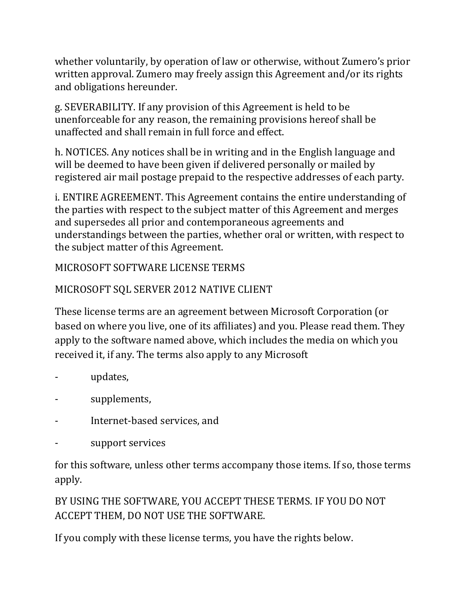whether voluntarily, by operation of law or otherwise, without Zumero's prior written approval. Zumero may freely assign this Agreement and/or its rights and obligations hereunder.

g. SEVERABILITY. If any provision of this Agreement is held to be unenforceable for any reason, the remaining provisions hereof shall be unaffected and shall remain in full force and effect.

h. NOTICES. Any notices shall be in writing and in the English language and will be deemed to have been given if delivered personally or mailed by registered air mail postage prepaid to the respective addresses of each party.

i. ENTIRE AGREEMENT. This Agreement contains the entire understanding of the parties with respect to the subject matter of this Agreement and merges and supersedes all prior and contemporaneous agreements and understandings between the parties, whether oral or written, with respect to the subject matter of this Agreement.

## MICROSOFT SOFTWARE LICENSE TERMS

## MICROSOFT SQL SERVER 2012 NATIVE CLIENT

These license terms are an agreement between Microsoft Corporation (or based on where you live, one of its affiliates) and you. Please read them. They apply to the software named above, which includes the media on which you received it, if any. The terms also apply to any Microsoft

- updates,
- supplements,
- Internet-based services, and
- support services

for this software, unless other terms accompany those items. If so, those terms apply.

BY USING THE SOFTWARE, YOU ACCEPT THESE TERMS. IF YOU DO NOT ACCEPT THEM, DO NOT USE THE SOFTWARE.

If you comply with these license terms, you have the rights below.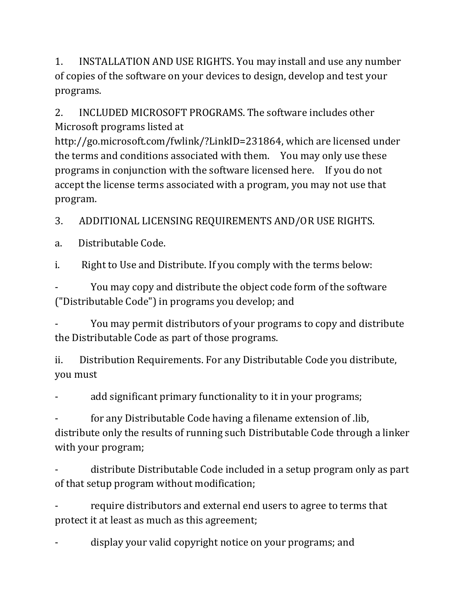1. INSTALLATION AND USE RIGHTS. You may install and use any number of copies of the software on your devices to design, develop and test your programs.

2. INCLUDED MICROSOFT PROGRAMS. The software includes other Microsoft programs listed at

[http://go.microsoft.com/fwlink/?LinkID=231864,](http://go.microsoft.com/fwlink/?LinkID=231864) which are licensed under the terms and conditions associated with them. You may only use these programs in conjunction with the software licensed here. If you do not accept the license terms associated with a program, you may not use that program.

3. ADDITIONAL LICENSING REQUIREMENTS AND/OR USE RIGHTS.

a. Distributable Code.

i. Right to Use and Distribute. If you comply with the terms below:

You may copy and distribute the object code form of the software ("Distributable Code") in programs you develop; and

You may permit distributors of your programs to copy and distribute the Distributable Code as part of those programs.

ii. Distribution Requirements. For any Distributable Code you distribute, you must

add significant primary functionality to it in your programs;

- for any Distributable Code having a filename extension of .lib, distribute only the results of running such Distributable Code through a linker with your program;

- distribute Distributable Code included in a setup program only as part of that setup program without modification;

require distributors and external end users to agree to terms that protect it at least as much as this agreement;

display your valid copyright notice on your programs; and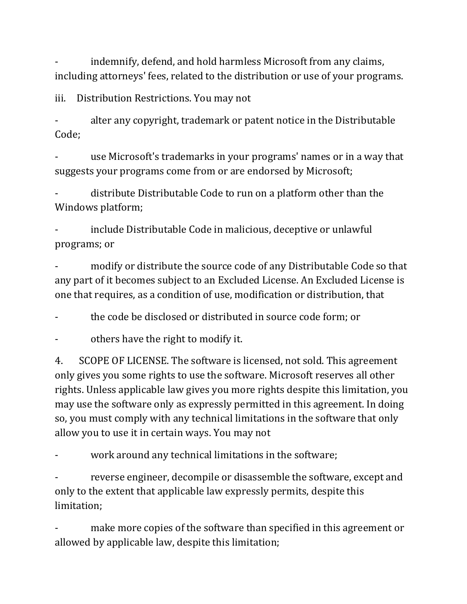indemnify, defend, and hold harmless Microsoft from any claims, including attorneys' fees, related to the distribution or use of your programs.

iii. Distribution Restrictions. You may not

alter any copyright, trademark or patent notice in the Distributable Code;

use Microsoft's trademarks in your programs' names or in a way that suggests your programs come from or are endorsed by Microsoft;

distribute Distributable Code to run on a platform other than the Windows platform;

include Distributable Code in malicious, deceptive or unlawful programs; or

modify or distribute the source code of any Distributable Code so that any part of it becomes subject to an Excluded License. An Excluded License is one that requires, as a condition of use, modification or distribution, that

the code be disclosed or distributed in source code form; or

others have the right to modify it.

4. SCOPE OF LICENSE. The software is licensed, not sold. This agreement only gives you some rights to use the software. Microsoft reserves all other rights. Unless applicable law gives you more rights despite this limitation, you may use the software only as expressly permitted in this agreement. In doing so, you must comply with any technical limitations in the software that only allow you to use it in certain ways. You may not

work around any technical limitations in the software;

reverse engineer, decompile or disassemble the software, except and only to the extent that applicable law expressly permits, despite this limitation;

make more copies of the software than specified in this agreement or allowed by applicable law, despite this limitation;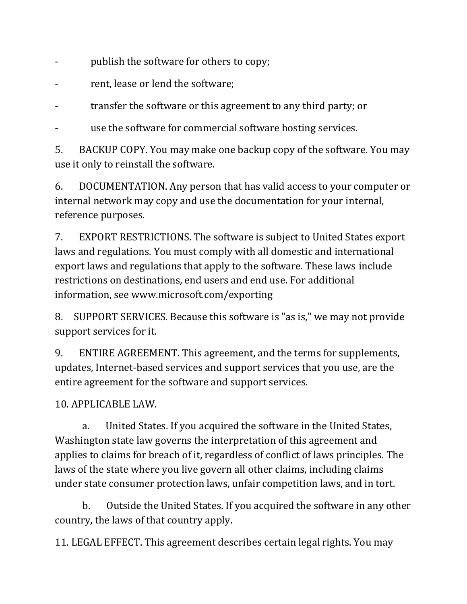- publish the software for others to copy;
- rent, lease or lend the software;

transfer the software or this agreement to any third party; or

use the software for commercial software hosting services.

5. BACKUP COPY. You may make one backup copy of the software. You may use it only to reinstall the software.

6. DOCUMENTATION. Any person that has valid access to your computer or internal network may copy and use the documentation for your internal, reference purposes.

7. EXPORT RESTRICTIONS. The software is subject to United States export laws and regulations. You must comply with all domestic and international export laws and regulations that apply to the software. These laws include restrictions on destinations, end users and end use. For additional information, see [www.microsoft.com/exporting](http://www.microsoft.com/exporting)

8. SUPPORT SERVICES. Because this software is "as is," we may not provide support services for it.

9. ENTIRE AGREEMENT. This agreement, and the terms for supplements, updates, Internet-based services and support services that you use, are the entire agreement for the software and support services.

10. APPLICABLE LAW.

a. United States. If you acquired the software in the United States, Washington state law governs the interpretation of this agreement and applies to claims for breach of it, regardless of conflict of laws principles. The laws of the state where you live govern all other claims, including claims under state consumer protection laws, unfair competition laws, and in tort.

b. Outside the United States. If you acquired the software in any other country, the laws of that country apply.

11. LEGAL EFFECT. This agreement describes certain legal rights. You may